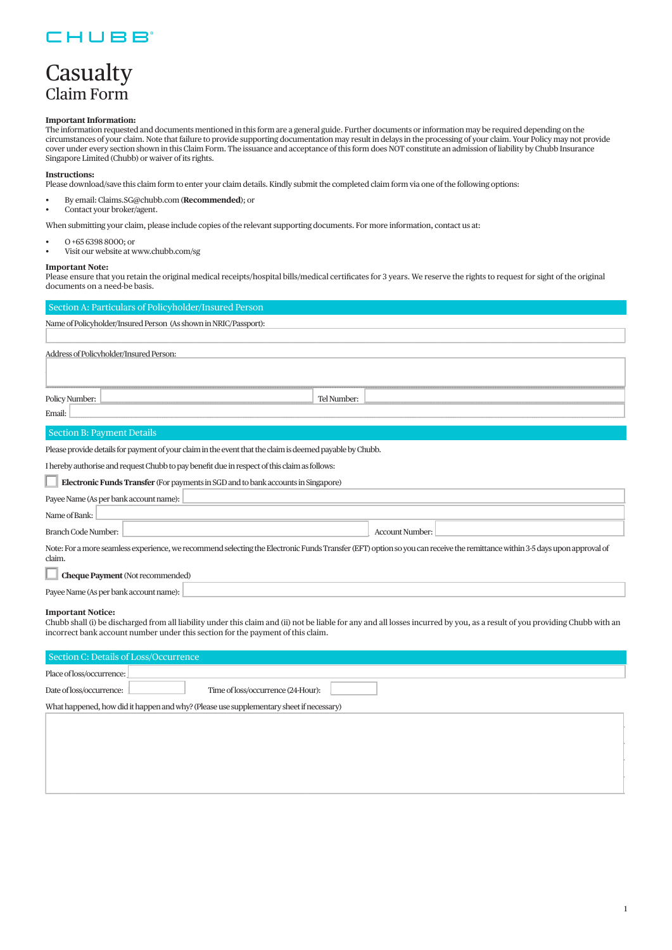### CHUBB

## Casualty Claim Form

#### **Important Information:**

The information requested and documents mentioned in this form are a general guide. Further documents or information may be required depending on the circumstances of your claim. Note that failure to provide supporting documentation may result in delays in the processing of your claim. Your Policy may not provide cover under every section shown in this Claim Form. The issuance and acceptance of this form does NOT constitute an admission of liability by Chubb Insurance Singapore Limited (Chubb) or waiver of its rights.

#### **Instructions:**

Please download/save this claim form to enter your claim details. Kindly submit the completed claim form via one of the following options:

- By email: Claims.SG@chubb.com (**Recommended**); or
- Contact your broker/agent.

When submitting your claim, please include copies of the relevant supporting documents. For more information, contact us at:

- O +65 6398 8000; or
- Visit our website at www.chubb.com/sg

#### **Important Note:**

Please ensure that you retain the original medical receipts/hospital bills/medical certificates for 3 years. We reserve the rights to request for sight of the original documents on a need-be basis.

| Section A: Particulars of Policyholder/Insured Person                                                                                                                                                                                                                                      |             |                        |  |  |  |  |
|--------------------------------------------------------------------------------------------------------------------------------------------------------------------------------------------------------------------------------------------------------------------------------------------|-------------|------------------------|--|--|--|--|
| Name of Policyholder/Insured Person (As shown in NRIC/Passport):                                                                                                                                                                                                                           |             |                        |  |  |  |  |
|                                                                                                                                                                                                                                                                                            |             |                        |  |  |  |  |
| Address of Policyholder/Insured Person:                                                                                                                                                                                                                                                    |             |                        |  |  |  |  |
|                                                                                                                                                                                                                                                                                            |             |                        |  |  |  |  |
|                                                                                                                                                                                                                                                                                            |             |                        |  |  |  |  |
| Policy Number:                                                                                                                                                                                                                                                                             | Tel Number: |                        |  |  |  |  |
| Email:                                                                                                                                                                                                                                                                                     |             |                        |  |  |  |  |
| <b>Section B: Payment Details</b>                                                                                                                                                                                                                                                          |             |                        |  |  |  |  |
| Please provide details for payment of your claim in the event that the claim is deemed payable by Chubb.                                                                                                                                                                                   |             |                        |  |  |  |  |
| I hereby authorise and request Chubb to pay benefit due in respect of this claim as follows:                                                                                                                                                                                               |             |                        |  |  |  |  |
| Electronic Funds Transfer (For payments in SGD and to bank accounts in Singapore)                                                                                                                                                                                                          |             |                        |  |  |  |  |
| Payee Name (As per bank account name):                                                                                                                                                                                                                                                     |             |                        |  |  |  |  |
| Name of Bank:                                                                                                                                                                                                                                                                              |             |                        |  |  |  |  |
| Branch Code Number:                                                                                                                                                                                                                                                                        |             | <b>Account Number:</b> |  |  |  |  |
| Note: For a more seamless experience, we recommend selecting the Electronic Funds Transfer (EFT) option so you can receive the remittance within 3-5 days upon approval of                                                                                                                 |             |                        |  |  |  |  |
| claim.                                                                                                                                                                                                                                                                                     |             |                        |  |  |  |  |
| <b>Cheque Payment</b> (Not recommended)                                                                                                                                                                                                                                                    |             |                        |  |  |  |  |
| Payee Name (As per bank account name):                                                                                                                                                                                                                                                     |             |                        |  |  |  |  |
| <b>Important Notice:</b><br>Chubb shall (i) be discharged from all liability under this claim and (ii) not be liable for any and all losses incurred by you, as a result of you providing Chubb with an<br>incorrect bank account number under this section for the payment of this claim. |             |                        |  |  |  |  |
| Section C: Details of Loss/Occurrence                                                                                                                                                                                                                                                      |             |                        |  |  |  |  |
| Place of loss/occurrence:                                                                                                                                                                                                                                                                  |             |                        |  |  |  |  |
| Date of loss/occurrence:<br>Time of loss/occurrence (24-Hour):                                                                                                                                                                                                                             |             |                        |  |  |  |  |

 $\Box$  $\Box$ \_\_\_\_\_\_\_\_\_\_\_\_\_\_\_\_\_\_\_\_\_\_\_\_\_\_\_\_\_\_\_\_\_\_\_\_\_\_\_\_\_\_\_\_\_\_\_\_\_\_\_\_\_\_\_\_\_\_\_\_\_\_\_\_\_\_\_\_\_\_\_\_\_\_\_\_\_\_\_\_\_\_\_\_\_\_\_\_\_\_\_\_\_\_\_\_\_\_\_\_\_\_\_\_\_\_\_\_\_\_\_\_\_\_\_\_\_\_\_\_\_\_\_\_\_\_\_\_\_\_\_\_\_\_\_\_\_\_\_\_\_\_\_\_\_\_\_\_\_\_\_\_\_\_\_\_\_\_\_\_\_\_\_\_\_\_\_\_\_\_\_\_\_\_\_\_\_\_\_\_\_\_\_\_\_\_\_\_\_\_\_\_\_\_\_\_\_\_\_\_\_\_\_\_\_\_\_\_\_\_\_\_\_\_\_ \_\_\_\_\_\_\_\_\_\_\_\_\_\_\_\_\_\_\_\_\_\_\_\_\_\_\_\_\_\_\_\_\_\_\_\_\_\_\_\_\_\_\_\_\_\_\_\_\_\_\_\_\_\_\_\_\_\_\_\_\_\_\_\_\_\_\_\_\_\_\_\_\_\_\_\_\_\_\_\_\_\_\_\_\_\_\_\_\_\_\_\_\_\_\_\_\_\_\_\_\_\_\_\_\_\_\_\_\_\_\_\_\_\_\_\_\_\_\_\_\_\_\_\_\_\_\_\_\_\_\_\_\_\_\_\_\_\_\_\_\_\_\_\_\_\_\_\_\_\_\_\_\_\_\_\_\_\_\_\_\_\_\_\_\_\_\_\_\_\_\_\_\_\_\_\_\_\_\_\_\_\_\_\_\_\_\_\_\_\_\_\_\_\_\_\_\_\_\_\_\_\_\_\_\_\_\_\_\_\_\_\_\_\_\_ \_\_\_\_\_\_\_\_\_\_\_\_\_\_\_\_\_\_\_\_\_\_\_\_\_\_\_\_\_\_\_\_\_\_\_\_\_\_\_\_\_\_\_\_\_\_\_\_\_\_\_\_\_\_\_\_\_\_\_\_\_\_\_\_\_\_\_\_\_\_\_\_\_\_\_\_\_\_\_\_\_\_\_\_\_\_\_\_\_\_\_\_\_\_\_\_\_\_\_\_\_\_\_\_\_\_\_\_\_\_\_\_\_\_\_\_\_\_\_\_\_\_\_\_\_\_\_\_\_\_\_\_\_\_\_\_\_\_\_\_\_\_\_\_\_\_\_\_\_\_\_\_\_\_\_\_\_\_\_\_\_\_\_\_\_\_\_\_\_\_\_\_\_\_\_\_\_\_\_\_\_\_\_\_\_\_\_\_\_\_\_\_\_\_\_\_\_\_\_\_\_\_\_\_\_\_\_\_\_\_\_\_\_\_\_

What happened, how did it happen and why? (Please use supplementary sheet if necessary)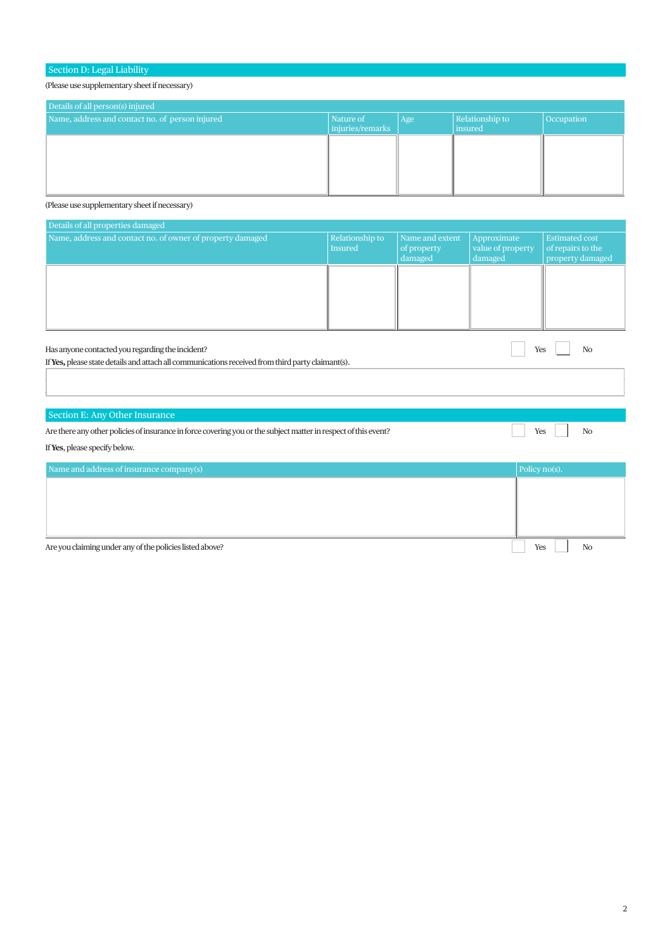#### Section D: Legal Liability

(Please use supplementary sheet if necessary)

| Details of all person(s) injured                |                               |     |                            |            |  |  |  |
|-------------------------------------------------|-------------------------------|-----|----------------------------|------------|--|--|--|
| Name, address and contact no. of person injured | Nature of<br>injuries/remarks | Age | Relationship to<br>insured | Occupation |  |  |  |
|                                                 |                               |     |                            |            |  |  |  |
|                                                 |                               |     |                            |            |  |  |  |

(Please use supplementary sheet if necessary)

| Details of all properties damaged                                                                               |                            |                                           |                                             |                                                                |  |  |  |
|-----------------------------------------------------------------------------------------------------------------|----------------------------|-------------------------------------------|---------------------------------------------|----------------------------------------------------------------|--|--|--|
| Name, address and contact no. of owner of property damaged                                                      | Relationship to<br>Insured | Name and extent<br>of property<br>damaged | Approximate<br>value of property<br>damaged | <b>Estimated cost</b><br>of repairs to the<br>property damaged |  |  |  |
|                                                                                                                 |                            |                                           |                                             |                                                                |  |  |  |
|                                                                                                                 |                            |                                           |                                             |                                                                |  |  |  |
| Has anyone contacted you regarding the incident?<br>N <sub>O</sub><br>Yes                                       |                            |                                           |                                             |                                                                |  |  |  |
| If Yes, please state details and attach all communications received from third party claimant(s).               |                            |                                           |                                             |                                                                |  |  |  |
| Section E: Any Other Insurance                                                                                  |                            |                                           |                                             |                                                                |  |  |  |
| Are there any other policies of insurance in force covering you or the subject matter in respect of this event? |                            |                                           | Yes                                         | N <sub>O</sub>                                                 |  |  |  |
| If Yes, please specify below.                                                                                   |                            |                                           |                                             |                                                                |  |  |  |
| Name and address of insurance company(s)                                                                        |                            |                                           |                                             | Policy no(s).                                                  |  |  |  |
|                                                                                                                 |                            |                                           |                                             |                                                                |  |  |  |

Are you claiming under any of the policies listed above? No